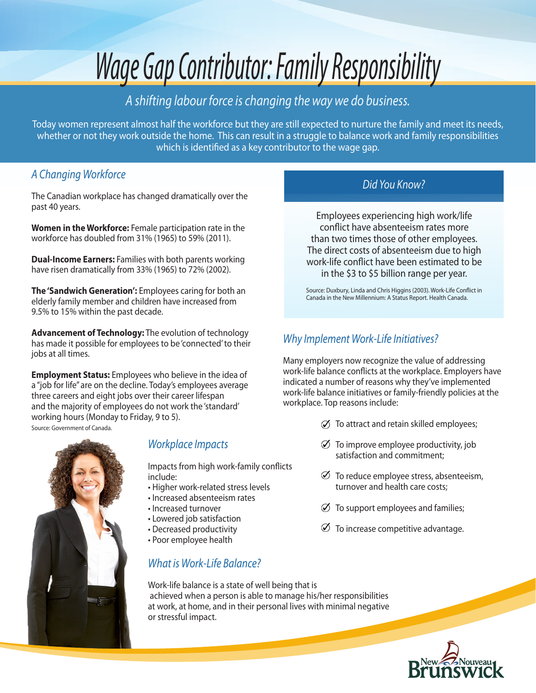# *Wage Gap Contributor: Family Responsibility*

# *A shifting labour force is changing the way we do business.*

Today women represent almost half the workforce but they are still expected to nurture the family and meet its needs, whether or not they work outside the home. This can result in a struggle to balance work and family responsibilities which is identified as a key contributor to the wage gap.

# *A Changing Workforce*

The Canadian workplace has changed dramatically over the past 40 years.

**Women in the Workforce:** Female participation rate in the workforce has doubled from 31% (1965) to 59% (2011).

**Dual-Income Earners:** Families with both parents working have risen dramatically from 33% (1965) to 72% (2002).

**The 'Sandwich Generation':** Employees caring for both an elderly family member and children have increased from 9.5% to 15% within the past decade.

**Advancement of Technology:** The evolution of technology has made it possible for employees to be 'connected' to their jobs at all times.

**Employment Status:** Employees who believe in the idea of a "job for life" are on the decline. Today's employees average three careers and eight jobs over their career lifespan and the majority of employees do not work the 'standard' working hours (Monday to Friday, 9 to 5). Source: Government of Canada.

# *Workplace Impacts*

Impacts from high work-family conflicts include:

- Higher work-related stress levels
- Increased absenteeism rates
- Increased turnover
- Lowered job satisfaction
- Decreased productivity
- Poor employee health

# *What is Work-Life Balance?*

*Did You Know?*

Employees experiencing high work/life conflict have absenteeism rates more than two times those of other employees. The direct costs of absenteeism due to high work-life conflict have been estimated to be in the \$3 to \$5 billion range per year.

Source: Duxbury, Linda and Chris Higgins (2003). Work-Life Conflict in Canada in the New Millennium: A Status Report. Health Canada.

## *Why Implement Work-Life Initiatives?*

Many employers now recognize the value of addressing work-life balance conflicts at the workplace. Employers have indicated a number of reasons why they've implemented work-life balance initiatives or family-friendly policies at the workplace. Top reasons include:

- $\oslash$  To attract and retain skilled employees;
- $\emptyset$  To improve employee productivity, job satisfaction and commitment;
- $\emptyset$  To reduce employee stress, absenteeism, turnover and health care costs;
- $\oslash$  To support employees and families;
- $\emptyset$  To increase competitive advantage.

Work-life balance is a state of well being that is achieved when a person is able to manage his/her responsibilities at work, at home, and in their personal lives with minimal negative or stressful impact.